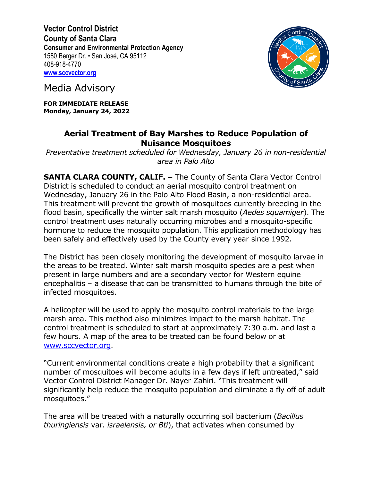**Vector Control District County of Santa Clara Consumer and Environmental Protection Agency** 1580 Berger Dr. • San José, CA 95112 408-918-4770 **[www.sccvector.org](http://www.sccvector.org/)**

Media Advisory

**FOR IMMEDIATE RELEASE Monday, January 24, 2022**

## **Aerial Treatment of Bay Marshes to Reduce Population of Nuisance Mosquitoes**

*Preventative treatment scheduled for Wednesday, January 26 in non-residential area in Palo Alto*

**SANTA CLARA COUNTY, CALIF. –** The County of Santa Clara Vector Control District is scheduled to conduct an aerial mosquito control treatment on Wednesday, January 26 in the Palo Alto Flood Basin, a non-residential area. This treatment will prevent the growth of mosquitoes currently breeding in the flood basin, specifically the winter salt marsh mosquito (*Aedes squamiger*). The control treatment uses naturally occurring microbes and a mosquito-specific hormone to reduce the mosquito population. This application methodology has been safely and effectively used by the County every year since 1992.

The District has been closely monitoring the development of mosquito larvae in the areas to be treated. Winter salt marsh mosquito species are a pest when present in large numbers and are a secondary vector for Western equine encephalitis – a disease that can be transmitted to humans through the bite of infected mosquitoes.

A helicopter will be used to apply the mosquito control materials to the large marsh area. This method also minimizes impact to the marsh habitat. The control treatment is scheduled to start at approximately 7:30 a.m. and last a few hours. A map of the area to be treated can be found below or at [www.sccvector.org.](http://www.sccvector.org/)

"Current environmental conditions create a high probability that a significant number of mosquitoes will become adults in a few days if left untreated," said Vector Control District Manager Dr. Nayer Zahiri. "This treatment will significantly help reduce the mosquito population and eliminate a fly off of adult mosquitoes."

The area will be treated with a naturally occurring soil bacterium (*Bacillus thuringiensis* var. *israelensis, or Bti*), that activates when consumed by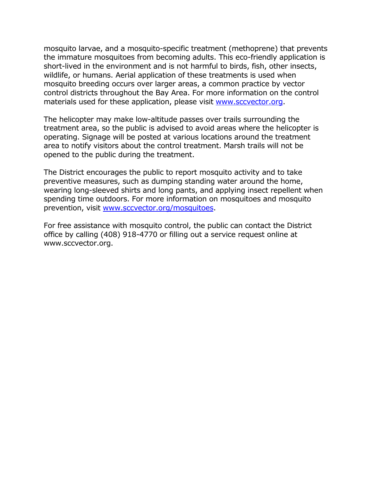mosquito larvae, and a mosquito-specific treatment (methoprene) that prevents the immature mosquitoes from becoming adults. This eco-friendly application is short-lived in the environment and is not harmful to birds, fish, other insects, wildlife, or humans. Aerial application of these treatments is used when mosquito breeding occurs over larger areas, a common practice by vector control districts throughout the Bay Area. For more information on the control materials used for these application, please visit [www.sccvector.org.](http://www.sccvector.org/)

The helicopter may make low-altitude passes over trails surrounding the treatment area, so the public is advised to avoid areas where the helicopter is operating. Signage will be posted at various locations around the treatment area to notify visitors about the control treatment. Marsh trails will not be opened to the public during the treatment.

The District encourages the public to report mosquito activity and to take preventive measures, such as dumping standing water around the home, wearing long-sleeved shirts and long pants, and applying insect repellent when spending time outdoors. For more information on mosquitoes and mosquito prevention, visit [www.sccvector.org/mosquitoes.](http://www.sccvector.org/mosquitoes)

For free assistance with mosquito control, the public can contact the District office by calling (408) 918-4770 or filling out a service request online at www.sccvector.org.